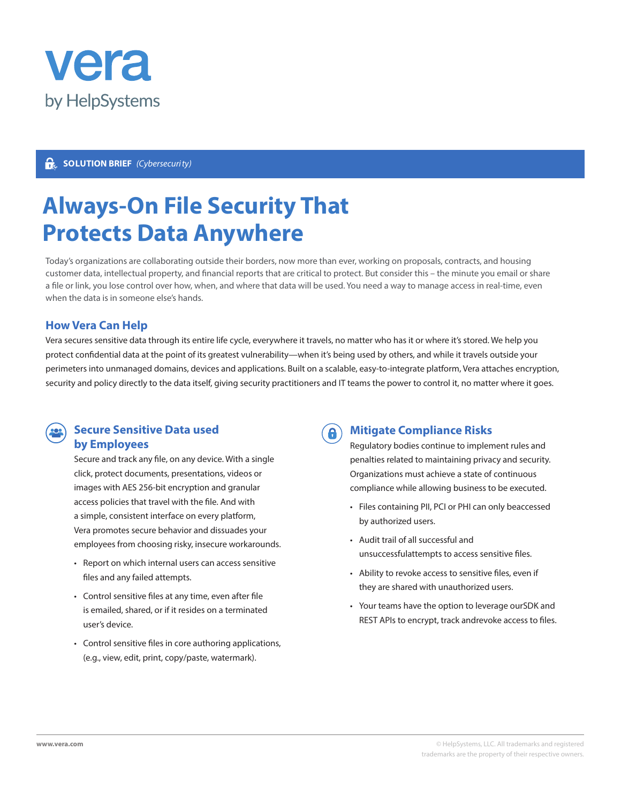

## **SOLUTION BRIEF** *(Cybersecurity)*

# **Always-On File Security That Protects Data Anywhere**

Today's organizations are collaborating outside their borders, now more than ever, working on proposals, contracts, and housing customer data, intellectual property, and financial reports that are critical to protect. But consider this – the minute you email or share a file or link, you lose control over how, when, and where that data will be used. You need a way to manage access in real-time, even when the data is in someone else's hands.

### **How Vera Can Help**

Vera secures sensitive data through its entire life cycle, everywhere it travels, no matter who has it or where it's stored. We help you protect confidential data at the point of its greatest vulnerability—when it's being used by others, and while it travels outside your perimeters into unmanaged domains, devices and applications. Built on a scalable, easy-to-integrate platform, Vera attaches encryption, security and policy directly to the data itself, giving security practitioners and IT teams the power to control it, no matter where it goes.

8



### **Secure Sensitive Data used by Employees**

Secure and track any file, on any device. With a single click, protect documents, presentations, videos or images with AES 256-bit encryption and granular access policies that travel with the file. And with a simple, consistent interface on every platform, Vera promotes secure behavior and dissuades your employees from choosing risky, insecure workarounds.

- Report on which internal users can access sensitive files and any failed attempts.
- Control sensitive files at any time, even after file is emailed, shared, or if it resides on a terminated user's device.
- Control sensitive files in core authoring applications, (e.g., view, edit, print, copy/paste, watermark).

# **Mitigate Compliance Risks**

Regulatory bodies continue to implement rules and penalties related to maintaining privacy and security. Organizations must achieve a state of continuous compliance while allowing business to be executed.

- Files containing PII, PCI or PHI can only beaccessed by authorized users.
- Audit trail of all successful and unsuccessfulattempts to access sensitive files.
- Ability to revoke access to sensitive files, even if they are shared with unauthorized users.
- Your teams have the option to leverage ourSDK and REST APIs to encrypt, track andrevoke access to files.